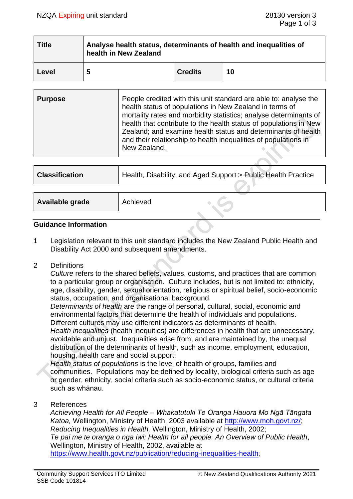| <b>Title</b> | Analyse health status, determinants of health and inequalities of<br>health in New Zealand |                |    |  |  |
|--------------|--------------------------------------------------------------------------------------------|----------------|----|--|--|
| Level        | 5                                                                                          | <b>Credits</b> | 10 |  |  |

| <b>Purpose</b> | People credited with this unit standard are able to: analyse the<br>health status of populations in New Zealand in terms of<br>mortality rates and morbidity statistics; analyse determinants of<br>health that contribute to the health status of populations in New<br>Zealand; and examine health status and determinants of health<br>and their relationship to health inequalities of populations in<br>New Zealand. |
|----------------|---------------------------------------------------------------------------------------------------------------------------------------------------------------------------------------------------------------------------------------------------------------------------------------------------------------------------------------------------------------------------------------------------------------------------|
|                |                                                                                                                                                                                                                                                                                                                                                                                                                           |

| <b>Classification</b> | Health, Disability, and Aged Support > Public Health Practice |  |  |
|-----------------------|---------------------------------------------------------------|--|--|
|                       |                                                               |  |  |
| Available grade       | Achieved                                                      |  |  |
|                       |                                                               |  |  |

#### **Guidance Information**

1 Legislation relevant to this unit standard includes the New Zealand Public Health and Disability Act 2000 and subsequent amendments.

#### 2 Definitions

*Culture* refers to the shared beliefs, values, customs, and practices that are common to a particular group or organisation. Culture includes, but is not limited to: ethnicity, age, disability, gender, sexual orientation, religious or spiritual belief, socio-economic status, occupation, and organisational background.

*Determinants of health* are the range of personal, cultural, social, economic and environmental factors that determine the health of individuals and populations. Different cultures may use different indicators as determinants of health.

*Health inequalities* (health inequities) are differences in health that are unnecessary, avoidable and unjust. Inequalities arise from, and are maintained by, the unequal distribution of the determinants of health, such as income, employment, education, housing, health care and social support.

*Health status of populations* is the level of health of groups, families and communities. Populations may be defined by locality, biological criteria such as age or gender, ethnicity, social criteria such as socio-economic status, or cultural criteria such as whānau.

#### 3 References

*Achieving Health for All People – Whakatutuki Te Oranga Hauora Mo Ngā Tāngata Katoa,* Wellington, Ministry of Health, 2003 available at [http://www.moh.govt.nz/;](http://www.moh.govt.nz/) *Reducing Inequalities in Health,* Wellington, Ministry of Health, 2002; *Te pai me te oranga o nga iwi: Health for all people. An Overview of Public Health*, Wellington, Ministry of Health, 2002, available at <https://www.health.govt.nz/publication/reducing-inequalities-health>;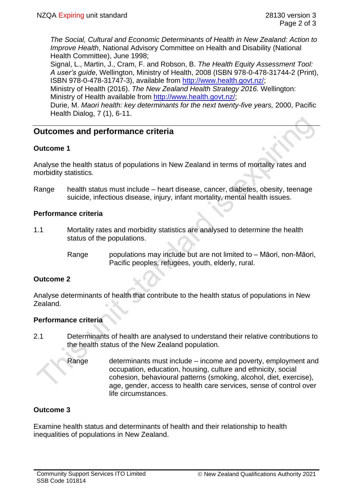*The Social, Cultural and Economic Determinants of Health in New Zealand: Action to Improve Health*, National Advisory Committee on Health and Disability (National Health Committee), June 1998;

Signal, L., Martin, J., Cram, F. and Robson, B. *The Health Equity Assessment Tool: A user's guide*, Wellington, Ministry of Health, 2008 (ISBN 978-0-478-31744-2 (Print), ISBN 978-0-478-31747-3), available from [http://www.health.govt.nz/;](http://www.health.govt.nz/)

Ministry of Health (2016). *The New Zealand Health Strategy 2016.* Wellington: Ministry of Health available from [http://www.health.govt.nz/;](http://www.health.govt.nz/)

Durie, M. *Maori health: key determinants for the next twenty-five years,* 2000, Pacific Health Dialog, 7 (1), 6-11.

# **Outcomes and performance criteria**

# **Outcome 1**

Analyse the health status of populations in New Zealand in terms of mortality rates and morbidity statistics.

Range health status must include – heart disease, cancer, diabetes, obesity, teenage suicide, infectious disease, injury, infant mortality, mental health issues.

# **Performance criteria**

- 1.1 Mortality rates and morbidity statistics are analysed to determine the health status of the populations.
	- Range populations may include but are not limited to Māori, non-Māori, Pacific peoples, refugees, youth, elderly, rural.

# **Outcome 2**

Analyse determinants of health that contribute to the health status of populations in New Zealand.

# **Performance criteria**

- 2.1 Determinants of health are analysed to understand their relative contributions to the health status of the New Zealand population.
	- Range determinants must include income and poverty, employment and occupation, education, housing, culture and ethnicity, social cohesion, behavioural patterns (smoking, alcohol, diet, exercise), age, gender, access to health care services, sense of control over life circumstances.

# **Outcome 3**

Examine health status and determinants of health and their relationship to health inequalities of populations in New Zealand.